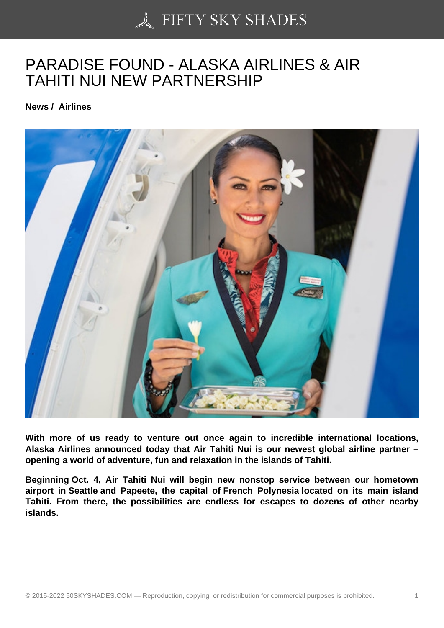## [PARADISE FOUND - A](https://50skyshades.com)LASKA AIRLINES & AIR TAHITI NUI NEW PARTNERSHIP

News / Airlines

With more of us ready to venture out once again to incredible international locations, Alaska Airlines announced today that Air Tahiti Nui is our newest global airline partner – opening a world of adventure, fun and relaxation in the islands of Tahiti.

Beginning Oct. 4, Air Tahiti Nui will begin new nonstop service between our hometown airport in Seattle and Papeete, the capital of French Polynesia located on its main island Tahiti. From there, the possibilities are endless for escapes to dozens of other nearby islands.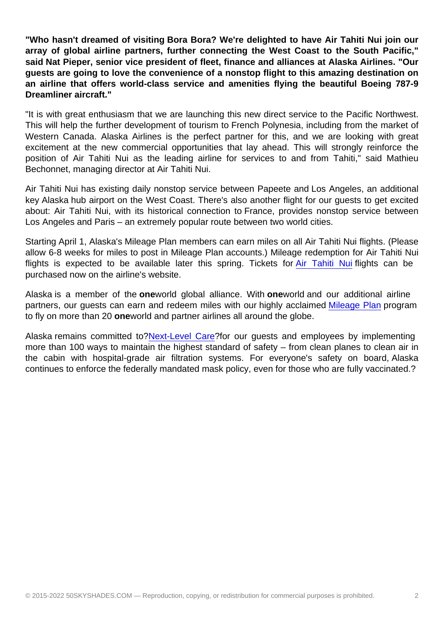"Who hasn't dreamed of visiting Bora Bora? We're delighted to have Air Tahiti Nui join our array of global airline partners, further connecting the West Coast to the South Pacific," said Nat Pieper, senior vice president of fleet, finance and alliances at Alaska Airlines. "Our guests are going to love the convenience of a nonstop flight to this amazing destination on an airline that offers world-class service and amenities flying the beautiful Boeing 787-9 Dreamliner aircraft."

"It is with great enthusiasm that we are launching this new direct service to the Pacific Northwest. This will help the further development of tourism to French Polynesia, including from the market of Western Canada. Alaska Airlines is the perfect partner for this, and we are looking with great excitement at the new commercial opportunities that lay ahead. This will strongly reinforce the position of Air Tahiti Nui as the leading airline for services to and from Tahiti," said Mathieu Bechonnet, managing director at Air Tahiti Nui.

Air Tahiti Nui has existing daily nonstop service between Papeete and Los Angeles, an additional key Alaska hub airport on the West Coast. There's also another flight for our guests to get excited about: Air Tahiti Nui, with its historical connection to France, provides nonstop service between Los Angeles and Paris – an extremely popular route between two world cities.

Starting April 1, Alaska's Mileage Plan members can earn miles on all Air Tahiti Nui flights. (Please allow 6-8 weeks for miles to post in Mileage Plan accounts.) Mileage redemption for Air Tahiti Nui flights is expected to be available later this spring. Tickets for Air Tahiti Nui flights can be purchased now on the airline's website.

Alaska is a member of the oneworld global alliance. With onewo[rld and our ad](https://c212.net/c/link/?t=0&l=en&o=3487704-1&h=1930498279&u=https://www.airtahitinui.com/us-en&a=Air+Tahiti+Nui)ditional airline partners, our guests can earn and redeem miles with our highly acclaimed Mileage Plan program to fly on more than 20 oneworld and partner airlines all around the globe.

Alaska remains committed to?Next-Level Care?for our guests and employees by implementing more than 100 ways to maintain the highest standard of safety – from clea[n planes to cle](https://c212.net/c/link/?t=0&l=en&o=3487704-1&h=990071033&u=https://c212.net/c/link/?t=0&l=en&o=3212956-1&h=158808674&u=https%3A%2F%2Fwww.alaskaair.com%2Fcontent%2Fmileage-plan&a=Mileage+Plan&a=Mileage+Plan)an air in the cabin with hospital-grade air filtration systems. For everyone's safety on board, Alaska continues to enforce the feder[ally mandated mas](https://c212.net/c/link/?t=0&l=en&o=3487704-1&h=599807877&u=https://c212.net/c/link/?t=0&l=en&o=3212956-1&h=3304453575&u=https%3A%2F%2Fwww.alaskaair.com%2Fcontent%2Fadvisories%2Fcoronavirus%3Fint%3DAS_HomePage_BR1_L1%7C%7C2021_CV_AW%7C%7C-prodID%3AAwareness%26lid%3DHomePage_BR1_NLC&a=Next-Level+Care&a=Next-Level+Care)k policy, even for those who are fully vaccinated.?